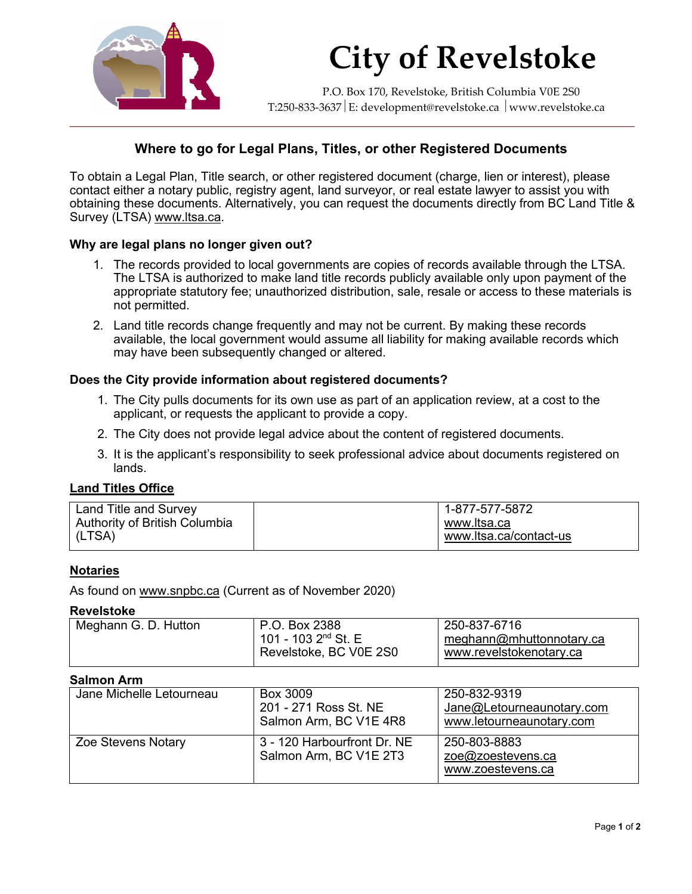

# **City of Revelstoke**

P.O. Box 170, Revelstoke, British Columbia V0E 2S0 T:250-833-3637 E: development@revelstoke.ca www.revelstoke.ca

# **Where to go for Legal Plans, Titles, or other Registered Documents**

To obtain a Legal Plan, Title search, or other registered document (charge, lien or interest), please contact either a notary public, registry agent, land surveyor, or real estate lawyer to assist you with obtaining these documents. Alternatively, you can request the documents directly from BC Land Title & Survey (LTSA) [www.ltsa.ca.](http://www.ltsa.ca/)

#### **Why are legal plans no longer given out?**

- 1. The records provided to local governments are copies of records available through the LTSA. The LTSA is authorized to make land title records publicly available only upon payment of the appropriate statutory fee; unauthorized distribution, sale, resale or access to these materials is not permitted.
- 2. Land title records change frequently and may not be current. By making these records available, the local government would assume all liability for making available records which may have been subsequently changed or altered.

#### **Does the City provide information about registered documents?**

- 1. The City pulls documents for its own use as part of an application review, at a cost to the applicant, or requests the applicant to provide a copy.
- 2. The City does not provide legal advice about the content of registered documents.
- 3. It is the applicant's responsibility to seek professional advice about documents registered on lands.

### **Land Titles Office**

| Land Title and Survey<br>Authority of British Columbia | 1-877-577-5872<br>www.ltsa.ca |
|--------------------------------------------------------|-------------------------------|
| (LTSA)                                                 | www.ltsa.ca/contact-us        |

#### **Notaries**

As found on [www.snpbc.ca](http://www.snpbc.ca/) (Current as of November 2020)

#### **Revelstoke**

| <sup>1</sup> Meghann G. D. Hutton | P.O. Box 2388          | 250-837-6716             |
|-----------------------------------|------------------------|--------------------------|
|                                   | 101 - 103 $2nd$ St. E  | meghann@mhuttonnotary.ca |
|                                   | Revelstoke, BC V0E 2S0 | www.revelstokenotary.ca  |
|                                   |                        |                          |

#### **Salmon Arm**

| vallivil alli            |                                                             |                                                                       |
|--------------------------|-------------------------------------------------------------|-----------------------------------------------------------------------|
| Jane Michelle Letourneau | Box 3009<br>201 - 271 Ross St. NE<br>Salmon Arm, BC V1E 4R8 | 250-832-9319<br>Jane@Letourneaunotary.com<br>www.letourneaunotary.com |
| Zoe Stevens Notary       | 3 - 120 Harbourfront Dr. NE<br>Salmon Arm, BC V1E 2T3       | 250-803-8883<br>zoe@zoestevens.ca<br>www.zoestevens.ca                |